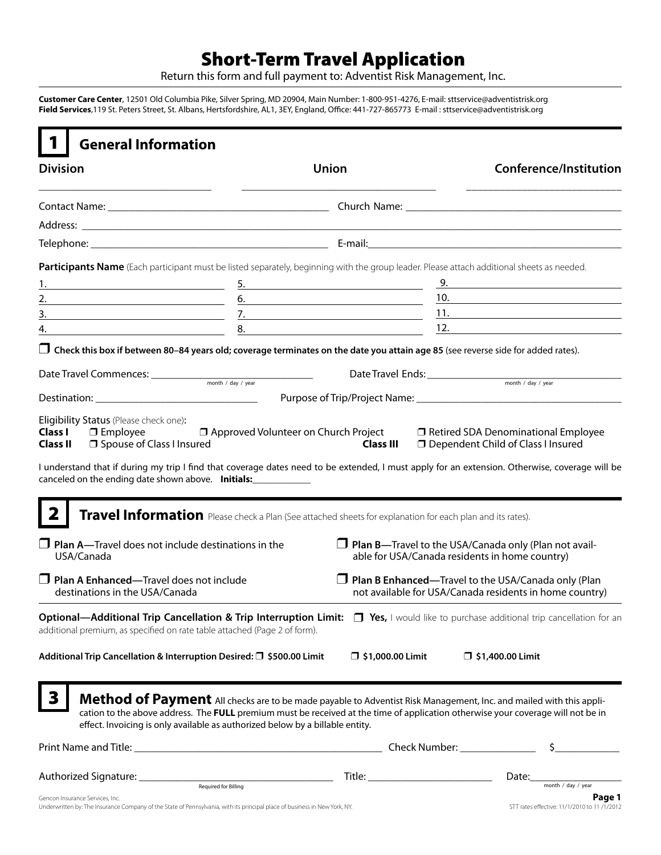# Short-Term Travel Application

Return this form and full payment to: Adventist Risk Management, Inc.

**Customer Care Center**, 12501 Old Columbia Pike, Silver Spring, MD 20904, Main Number: 1-800-951-4276, E-mail: sttservice@adventistrisk.org **Field Services**,119 St. Peters Street, St. Albans, Hertsfordshire, AL1, 3EY, England, Office: 441-727-865773 E-mail : sttservice@adventistrisk.org

| <b>Division</b>                                                                                                                                                                                                                                                                                                                              | <b>Union</b>            | Conference/Institution                                                                                                                         |
|----------------------------------------------------------------------------------------------------------------------------------------------------------------------------------------------------------------------------------------------------------------------------------------------------------------------------------------------|-------------------------|------------------------------------------------------------------------------------------------------------------------------------------------|
|                                                                                                                                                                                                                                                                                                                                              |                         |                                                                                                                                                |
|                                                                                                                                                                                                                                                                                                                                              |                         |                                                                                                                                                |
|                                                                                                                                                                                                                                                                                                                                              |                         |                                                                                                                                                |
| Participants Name (Each participant must be listed separately, beginning with the group leader. Please attach additional sheets as needed.                                                                                                                                                                                                   |                         |                                                                                                                                                |
| 1.                                                                                                                                                                                                                                                                                                                                           |                         | 9.                                                                                                                                             |
| <u> 1989 - Johann Barbara, martxa alemaniar a</u>                                                                                                                                                                                                                                                                                            |                         |                                                                                                                                                |
| $\overline{3}$ .                                                                                                                                                                                                                                                                                                                             |                         |                                                                                                                                                |
| 4.<br>$\frac{8.}{2}$ and $\frac{12.}{2}$                                                                                                                                                                                                                                                                                                     |                         |                                                                                                                                                |
| $\Box$ Check this box if between 80–84 years old; coverage terminates on the date you attain age 85 (see reverse side for added rates).                                                                                                                                                                                                      |                         |                                                                                                                                                |
| Date Travel Commences: $\frac{1}{\sqrt{1-\frac{1}{2}(\frac{1}{2}+\frac{1}{2})^{2}}}$ month / day / year                                                                                                                                                                                                                                      |                         |                                                                                                                                                |
|                                                                                                                                                                                                                                                                                                                                              |                         |                                                                                                                                                |
|                                                                                                                                                                                                                                                                                                                                              |                         |                                                                                                                                                |
| 2<br>Travel Information Please check a Plan (See attached sheets for explanation for each plan and its rates).                                                                                                                                                                                                                               |                         |                                                                                                                                                |
| canceled on the ending date shown above. Initials:<br>$\overline{\mathsf{J}}$ Plan A—Travel does not include destinations in the<br>USA/Canada                                                                                                                                                                                               |                         | $\Box$ Plan B—Travel to the USA/Canada only (Plan not avail-<br>able for USA/Canada residents in home country)                                 |
| $\Box$ Plan A Enhanced—Travel does not include<br>destinations in the USA/Canada                                                                                                                                                                                                                                                             |                         | $\Box$ Plan B Enhanced—Travel to the USA/Canada only (Plan<br>not available for USA/Canada residents in home country)                          |
|                                                                                                                                                                                                                                                                                                                                              |                         |                                                                                                                                                |
| additional premium, as specified on rate table attached (Page 2 of form).<br>Additional Trip Cancellation & Interruption Desired: □ \$500.00 Limit                                                                                                                                                                                           | $\Box$ \$1,000.00 Limit | $\Box$ \$1,400.00 Limit                                                                                                                        |
| З<br>Method of Payment All checks are to be made payable to Adventist Risk Management, Inc. and mailed with this appli-<br>cation to the above address. The FULL premium must be received at the time of application otherwise your coverage will not be in<br>effect. Invoicing is only available as authorized below by a billable entity. |                         |                                                                                                                                                |
| Optional-Additional Trip Cancellation & Trip Interruption Limit: [ ] Yes, I would like to purchase additional trip cancellation for an                                                                                                                                                                                                       |                         | I understand that if during my trip I find that coverage dates need to be extended, I must apply for an extension. Otherwise, coverage will be |
|                                                                                                                                                                                                                                                                                                                                              |                         | Date:                                                                                                                                          |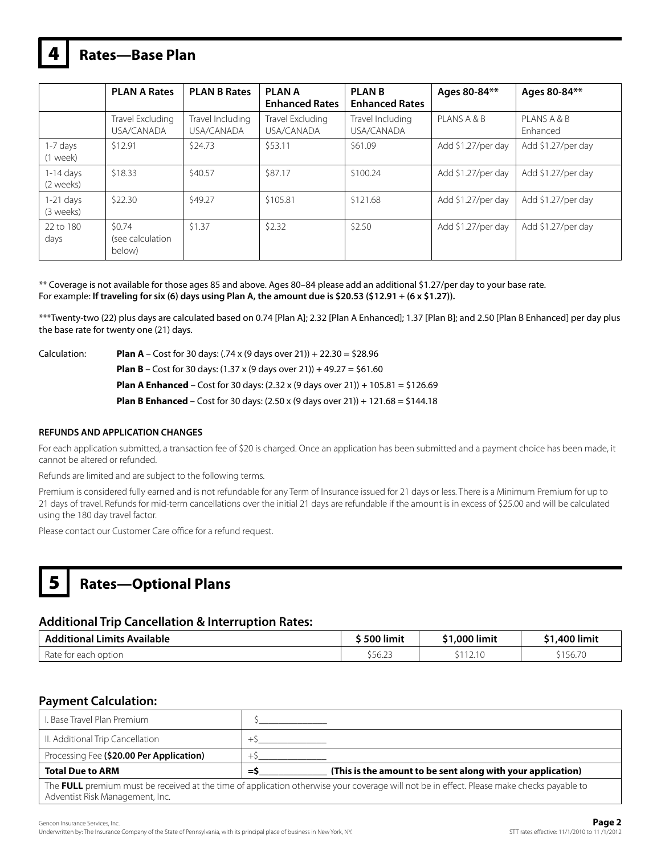## 4 **Rates—Base Plan**

|                          | <b>PLAN A Rates</b>                  | <b>PLAN B Rates</b>            | <b>PLANA</b><br><b>Enhanced Rates</b> | <b>PLANB</b><br><b>Enhanced Rates</b> | Ages 80-84**       | Ages 80-84**            |
|--------------------------|--------------------------------------|--------------------------------|---------------------------------------|---------------------------------------|--------------------|-------------------------|
|                          | Travel Excluding<br>USA/CANADA       | Travel Including<br>USA/CANADA | Travel Excluding<br>USA/CANADA        | Travel Including<br>USA/CANADA        | PLANS A & B        | PLANS A & B<br>Fnhanced |
| $1-7$ days<br>(1 week)   | \$12.91                              | \$24.73                        | \$53.11                               | \$61.09                               | Add \$1.27/per day | Add \$1.27/per day      |
| $1-14$ days<br>(2 weeks) | \$18.33                              | \$40.57                        | \$87.17                               | \$100.24                              | Add \$1.27/per day | Add \$1.27/per day      |
| $1-21$ days<br>(3 weeks) | \$22.30                              | \$49.27                        | \$105.81                              | \$121.68                              | Add \$1.27/per day | Add \$1.27/per day      |
| 22 to 180<br>days        | \$0.74<br>(see calculation<br>below) | \$1.37                         | \$2.32                                | \$2.50                                | Add \$1.27/per day | Add \$1.27/per day      |

\*\* Coverage is not available for those ages 85 and above. Ages 80–84 please add an additional \$1.27/per day to your base rate. For example: **If traveling for six (6) days using Plan A, the amount due is \$20.53 (\$12.91 + (6 x \$1.27)).**

\*\*\*Twenty-two (22) plus days are calculated based on 0.74 [Plan A]; 2.32 [Plan A Enhanced]; 1.37 [Plan B]; and 2.50 [Plan B Enhanced] per day plus the base rate for twenty one (21) days.

Calculation: **Plan A** – Cost for 30 days:  $(.74 \times (9 \text{ days over } 21)) + 22.30 = $28.96$  **Plan B** – Cost for 30 days: (1.37 x (9 days over 21)) + 49.27 = \$61.60 **Plan A Enhanced** – Cost for 30 days: (2.32 x (9 days over 21)) + 105.81 = \$126.69 **Plan B Enhanced** – Cost for 30 days: (2.50 x (9 days over 21)) + 121.68 = \$144.18

#### **REFUNDS AND APPLICATION CHANGES**

For each application submitted, a transaction fee of \$20 is charged. Once an application has been submitted and a payment choice has been made, it cannot be altered or refunded.

Refunds are limited and are subject to the following terms.

Premium is considered fully earned and is not refundable for any Term of Insurance issued for 21 days or less. There is a Minimum Premium for up to 21 days of travel. Refunds for mid-term cancellations over the initial 21 days are refundable if the amount is in excess of \$25.00 and will be calculated using the 180 day travel factor.

Please contact our Customer Care office for a refund request.

## 5 **Rates—Optional Plans**

### **Additional Trip Cancellation & Interruption Rates:**

| <b>Additional Limits Available</b> | \$500 limit | \$1,000 limit | \$1,400 limit |
|------------------------------------|-------------|---------------|---------------|
| Rate for each option               | \$56.23     | \$112.10      | \$156.70      |

### **Payment Calculation:**

| -----                                    |                                                                  |
|------------------------------------------|------------------------------------------------------------------|
| <b>Total Due to ARM</b>                  | (This is the amount to be sent along with your application)<br>= |
| Processing Fee (\$20.00 Per Application) |                                                                  |
| II. Additional Trip Cancellation         |                                                                  |
| I. Base Travel Plan Premium              |                                                                  |

The **FULL** premium must be received at the time of application otherwise your coverage will not be in effect. Please make checks payable to Adventist Risk Management, Inc.